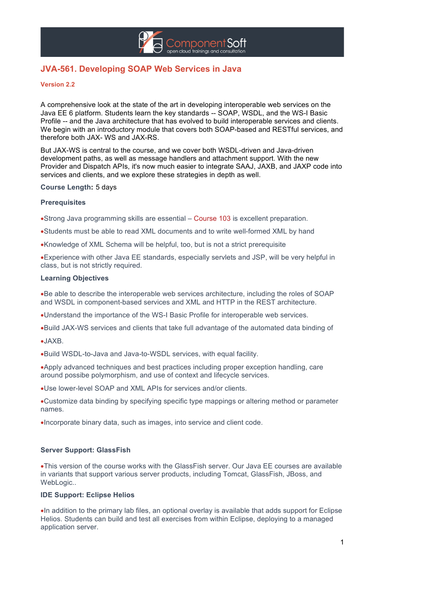

# **JVA-561. Developing SOAP Web Services in Java**

### **Version 2.2**

A comprehensive look at the state of the art in developing interoperable web services on the Java EE 6 platform. Students learn the key standards -- SOAP, WSDL, and the WS-I Basic Profile -- and the Java architecture that has evolved to build interoperable services and clients. We begin with an introductory module that covers both SOAP-based and RESTful services, and therefore both JAX- WS and JAX-RS.

But JAX-WS is central to the course, and we cover both WSDL-driven and Java-driven development paths, as well as message handlers and attachment support. With the new Provider and Dispatch APIs, it's now much easier to integrate SAAJ, JAXB, and JAXP code into services and clients, and we explore these strategies in depth as well.

### **Course Length:** 5 days

#### **Prerequisites**

•Strong Java programming skills are essential – Course 103 is excellent preparation.

•Students must be able to read XML documents and to write well-formed XML by hand

•Knowledge of XML Schema will be helpful, too, but is not a strict prerequisite

•Experience with other Java EE standards, especially servlets and JSP, will be very helpful in class, but is not strictly required.

#### **Learning Objectives**

•Be able to describe the interoperable web services architecture, including the roles of SOAP and WSDL in component-based services and XML and HTTP in the REST architecture.

- •Understand the importance of the WS-I Basic Profile for interoperable web services.
- •Build JAX-WS services and clients that take full advantage of the automated data binding of

•JAXB.

•Build WSDL-to-Java and Java-to-WSDL services, with equal facility.

•Apply advanced techniques and best practices including proper exception handling, care around possibe polymorphism, and use of context and lifecycle services.

•Use lower-level SOAP and XML APIs for services and/or clients.

•Customize data binding by specifying specific type mappings or altering method or parameter names.

•Incorporate binary data, such as images, into service and client code.

### **Server Support: GlassFish**

•This version of the course works with the GlassFish server. Our Java EE courses are available in variants that support various server products, including Tomcat, GlassFish, JBoss, and WebLogic..

#### **IDE Support: Eclipse Helios**

•In addition to the primary lab files, an optional overlay is available that adds support for Eclipse Helios. Students can build and test all exercises from within Eclipse, deploying to a managed application server.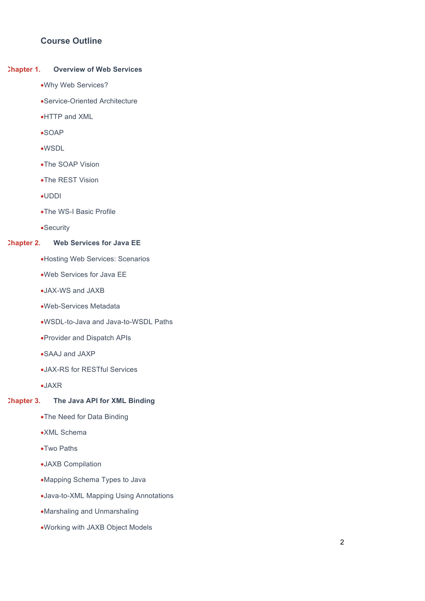## **Course Outline**

### **Chapter 1. Overview of Web Services**

- •Why Web Services?
- •Service-Oriented Architecture
- •HTTP and XML
- •SOAP
- •WSDL
- •The SOAP Vision
- •The REST Vision
- •UDDI
- •The WS-I Basic Profile
- •Security

### **Chapter 2. Web Services for Java EE**

- •Hosting Web Services: Scenarios
- •Web Services for Java EE
- •JAX-WS and JAXB
- •Web-Services Metadata
- •WSDL-to-Java and Java-to-WSDL Paths
- •Provider and Dispatch APIs
- •SAAJ and JAXP
- •JAX-RS for RESTful Services
- •JAXR

## **Chapter 3. The Java API for XML Binding**

- •The Need for Data Binding
- •XML Schema
- •Two Paths
- •JAXB Compilation
- •Mapping Schema Types to Java
- •Java-to-XML Mapping Using Annotations
- •Marshaling and Unmarshaling
- •Working with JAXB Object Models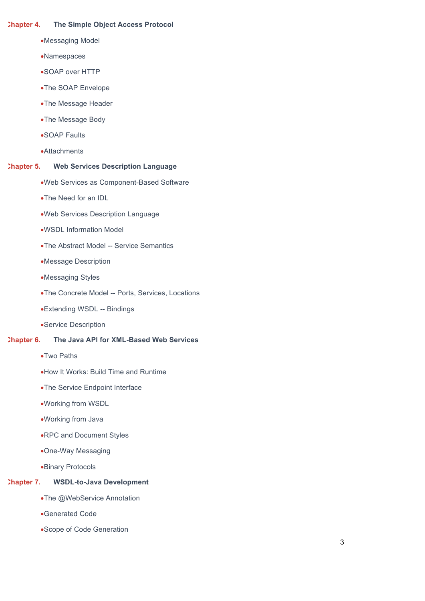### **Chapter 4. The Simple Object Access Protocol**

- •Messaging Model
- •Namespaces
- •SOAP over HTTP
- •The SOAP Envelope
- •The Message Header
- •The Message Body
- •SOAP Faults
- •Attachments

### **Chapter 5. Web Services Description Language**

- •Web Services as Component-Based Software
- •The Need for an IDL
- •Web Services Description Language
- •WSDL Information Model
- •The Abstract Model -- Service Semantics
- •Message Description
- •Messaging Styles
- •The Concrete Model -- Ports, Services, Locations
- •Extending WSDL -- Bindings
- •Service Description

## **Chapter 6. The Java API for XML-Based Web Services**

- •Two Paths
- •How It Works: Build Time and Runtime
- •The Service Endpoint Interface
- •Working from WSDL
- •Working from Java
- •RPC and Document Styles
- •One-Way Messaging
- •Binary Protocols

## **Chapter 7. WSDL-to-Java Development**

- •The @WebService Annotation
- •Generated Code
- •Scope of Code Generation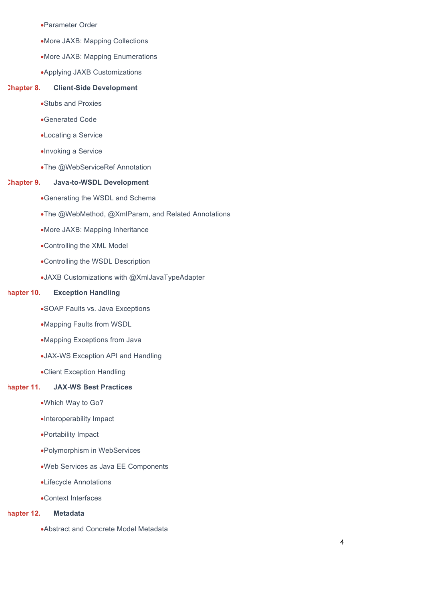- •Parameter Order
- •More JAXB: Mapping Collections
- •More JAXB: Mapping Enumerations
- •Applying JAXB Customizations

#### **Chapter 8. Client-Side Development**

- •Stubs and Proxies
- •Generated Code
- •Locating a Service
- •Invoking a Service
- •The @WebServiceRef Annotation

#### **Chapter 9. Java-to-WSDL Development**

- •Generating the WSDL and Schema
- •The @WebMethod, @XmlParam, and Related Annotations
- •More JAXB: Mapping Inheritance
- •Controlling the XML Model
- •Controlling the WSDL Description
- •JAXB Customizations with @XmlJavaTypeAdapter

### **Chapter 10. Exception Handling**

- •SOAP Faults vs. Java Exceptions
- •Mapping Faults from WSDL
- •Mapping Exceptions from Java
- •JAX-WS Exception API and Handling
- •Client Exception Handling

## **Chapter 11. JAX-WS Best Practices**

- •Which Way to Go?
- •Interoperability Impact
- •Portability Impact
- •Polymorphism in WebServices
- •Web Services as Java EE Components
- •Lifecycle Annotations
- •Context Interfaces

## **Chapter 12. Metadata**

•Abstract and Concrete Model Metadata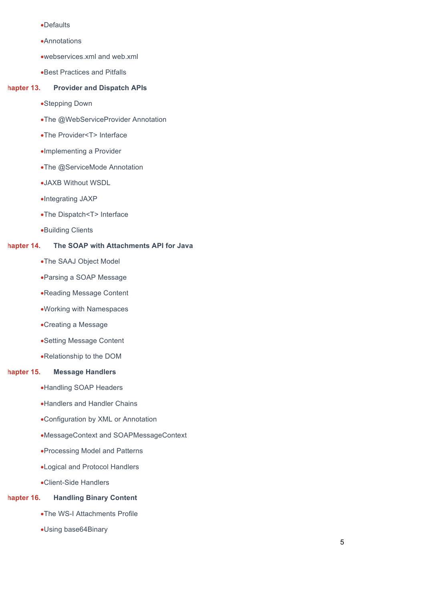- •Defaults
- •Annotations
- •webservices.xml and web.xml
- •Best Practices and Pitfalls

### **Chapter 13. Provider and Dispatch APIs**

- •Stepping Down
- •The @WebServiceProvider Annotation
- •The Provider<T> Interface
- •Implementing a Provider
- •The @ServiceMode Annotation
- •JAXB Without WSDL
- •Integrating JAXP
- •The Dispatch<T> Interface
- •Building Clients

## **Chapter 14. The SOAP with Attachments API for Java**

- •The SAAJ Object Model
- •Parsing a SOAP Message
- •Reading Message Content
- •Working with Namespaces
- •Creating a Message
- •Setting Message Content
- •Relationship to the DOM

### **Chapter 15. Message Handlers**

- •Handling SOAP Headers
- •Handlers and Handler Chains
- •Configuration by XML or Annotation
- •MessageContext and SOAPMessageContext
- •Processing Model and Patterns
- •Logical and Protocol Handlers
- •Client-Side Handlers

## **Chapter 16. Handling Binary Content**

- •The WS-I Attachments Profile
- •Using base64Binary